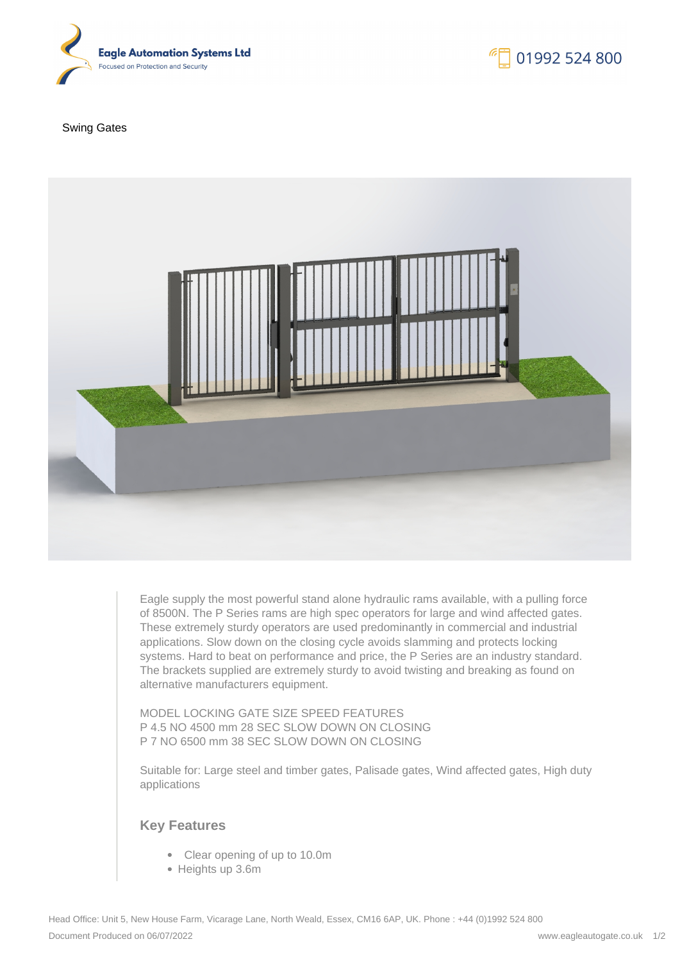

## Swing Gates



Eagle supply the most powerful stand alone hydraulic rams available, with a pulling force of 8500N. The P Series rams are high spec operators for large and wind affected gates. These extremely sturdy operators are used predominantly in commercial and industrial applications. Slow down on the closing cycle avoids slamming and protects locking systems. Hard to beat on performance and price, the P Series are an industry standard. The brackets supplied are extremely sturdy to avoid twisting and breaking as found on alternative manufacturers equipment.

MODEL LOCKING GATE SIZE SPEED FEATURES P 4.5 NO 4500 mm 28 SEC SLOW DOWN ON CLOSING P 7 NO 6500 mm 38 SEC SLOW DOWN ON CLOSING

Suitable for: Large steel and timber gates, Palisade gates, Wind affected gates, High duty applications

## **Key Features**

- Clear opening of up to 10.0m
- Heights up 3.6m